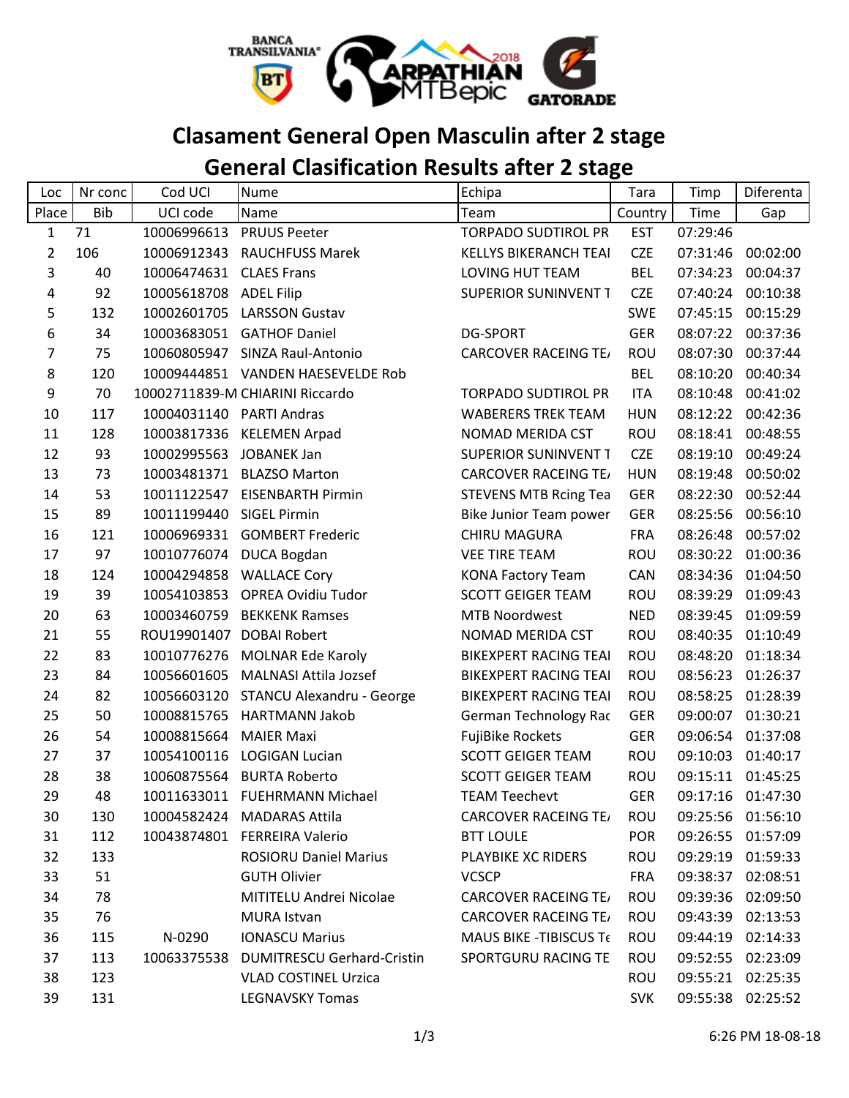

## **Clasament General Open Masculin after 2 stage**

## **General Clasification Results after 2 stage**

| Loc            | Nr conc    | Cod UCI                | <b>Nume</b>                       | Echipa                         | Tara       | Timp     | Diferenta         |
|----------------|------------|------------------------|-----------------------------------|--------------------------------|------------|----------|-------------------|
| Place          | <b>Bib</b> | UCI code               | Name                              | Team                           | Country    | Time     | Gap               |
| $\mathbf{1}$   | 71         | 10006996613            | <b>PRUUS Peeter</b>               | <b>TORPADO SUDTIROL PR</b>     | <b>EST</b> | 07:29:46 |                   |
| $\overline{2}$ | 106        |                        | 10006912343 RAUCHFUSS Marek       | <b>KELLYS BIKERANCH TEAI</b>   | <b>CZE</b> | 07:31:46 | 00:02:00          |
| 3              | 40         | 10006474631            | <b>CLAES Frans</b>                | LOVING HUT TEAM                | <b>BEL</b> | 07:34:23 | 00:04:37          |
| 4              | 92         | 10005618708 ADEL Filip |                                   | SUPERIOR SUNINVENT T           | <b>CZE</b> | 07:40:24 | 00:10:38          |
| 5              | 132        | 10002601705            | <b>LARSSON Gustav</b>             |                                | <b>SWE</b> | 07:45:15 | 00:15:29          |
| 6              | 34         | 10003683051            | <b>GATHOF Daniel</b>              | <b>DG-SPORT</b>                | <b>GER</b> | 08:07:22 | 00:37:36          |
| 7              | 75         |                        | 10060805947 SINZA Raul-Antonio    | <b>CARCOVER RACEING TE/</b>    | <b>ROU</b> | 08:07:30 | 00:37:44          |
| 8              | 120        |                        | 10009444851 VANDEN HAESEVELDE Rob |                                | <b>BEL</b> | 08:10:20 | 00:40:34          |
| 9              | 70         |                        | 10002711839-M CHIARINI Riccardo   | <b>TORPADO SUDTIROL PR</b>     | ITA        | 08:10:48 | 00:41:02          |
| 10             | 117        | 10004031140            | <b>PARTI Andras</b>               | <b>WABERERS TREK TEAM</b>      | <b>HUN</b> | 08:12:22 | 00:42:36          |
| 11             | 128        | 10003817336            | <b>KELEMEN Arpad</b>              | NOMAD MERIDA CST               | <b>ROU</b> | 08:18:41 | 00:48:55          |
| 12             | 93         | 10002995563            | <b>JOBANEK Jan</b>                | <b>SUPERIOR SUNINVENT T</b>    | <b>CZE</b> | 08:19:10 | 00:49:24          |
| 13             | 73         | 10003481371            | <b>BLAZSO Marton</b>              | <b>CARCOVER RACEING TE/</b>    | <b>HUN</b> | 08:19:48 | 00:50:02          |
| 14             | 53         | 10011122547            | <b>EISENBARTH Pirmin</b>          | <b>STEVENS MTB Rcing Tea</b>   | <b>GER</b> | 08:22:30 | 00:52:44          |
| 15             | 89         | 10011199440            | <b>SIGEL Pirmin</b>               | Bike Junior Team power         | <b>GER</b> | 08:25:56 | 00:56:10          |
| 16             | 121        |                        | 10006969331 GOMBERT Frederic      | <b>CHIRU MAGURA</b>            | <b>FRA</b> | 08:26:48 | 00:57:02          |
| 17             | 97         | 10010776074            | <b>DUCA Bogdan</b>                | <b>VEE TIRE TEAM</b>           | <b>ROU</b> | 08:30:22 | 01:00:36          |
| 18             | 124        | 10004294858            | <b>WALLACE Cory</b>               | <b>KONA Factory Team</b>       | <b>CAN</b> | 08:34:36 | 01:04:50          |
| 19             | 39         | 10054103853            | <b>OPREA Ovidiu Tudor</b>         | <b>SCOTT GEIGER TEAM</b>       | <b>ROU</b> | 08:39:29 | 01:09:43          |
| 20             | 63         | 10003460759            | <b>BEKKENK Ramses</b>             | <b>MTB Noordwest</b>           | <b>NED</b> | 08:39:45 | 01:09:59          |
| 21             | 55         |                        | ROU19901407 DOBAI Robert          | NOMAD MERIDA CST               | <b>ROU</b> | 08:40:35 | 01:10:49          |
| 22             | 83         | 10010776276            | <b>MOLNAR Ede Karoly</b>          | <b>BIKEXPERT RACING TEAI</b>   | ROU        | 08:48:20 | 01:18:34          |
| 23             | 84         | 10056601605            | <b>MALNASI Attila Jozsef</b>      | <b>BIKEXPERT RACING TEAI</b>   | ROU        | 08:56:23 | 01:26:37          |
| 24             | 82         | 10056603120            | STANCU Alexandru - George         | <b>BIKEXPERT RACING TEAI</b>   | <b>ROU</b> | 08:58:25 | 01:28:39          |
| 25             | 50         | 10008815765            | <b>HARTMANN Jakob</b>             | German Technology Rac          | <b>GER</b> | 09:00:07 | 01:30:21          |
| 26             | 54         | 10008815664            | <b>MAIER Maxi</b>                 | <b>FujiBike Rockets</b>        | <b>GER</b> | 09:06:54 | 01:37:08          |
| 27             | 37         | 10054100116            | <b>LOGIGAN Lucian</b>             | <b>SCOTT GEIGER TEAM</b>       | <b>ROU</b> | 09:10:03 | 01:40:17          |
| 28             | 38         |                        | 10060875564 BURTA Roberto         | <b>SCOTT GEIGER TEAM</b>       | ROU        |          | 09:15:11 01:45:25 |
| 29             | 48         |                        | 10011633011 FUEHRMANN Michael     | <b>TEAM Teechevt</b>           | <b>GER</b> |          | 09:17:16 01:47:30 |
| 30             | 130        |                        | 10004582424 MADARAS Attila        | <b>CARCOVER RACEING TE/</b>    | <b>ROU</b> |          | 09:25:56 01:56:10 |
| 31             | 112        |                        | 10043874801 FERREIRA Valerio      | <b>BTT LOULE</b>               | <b>POR</b> |          | 09:26:55 01:57:09 |
| 32             | 133        |                        | <b>ROSIORU Daniel Marius</b>      | PLAYBIKE XC RIDERS             | <b>ROU</b> |          | 09:29:19 01:59:33 |
| 33             | 51         |                        | <b>GUTH Olivier</b>               | <b>VCSCP</b>                   | <b>FRA</b> |          | 09:38:37 02:08:51 |
| 34             | 78         |                        | MITITELU Andrei Nicolae           | <b>CARCOVER RACEING TE</b>     | <b>ROU</b> |          | 09:39:36 02:09:50 |
| 35             | 76         |                        | MURA Istvan                       | <b>CARCOVER RACEING TE/</b>    | <b>ROU</b> |          | 09:43:39 02:13:53 |
| 36             | 115        | N-0290                 | <b>IONASCU Marius</b>             | <b>MAUS BIKE - TIBISCUS Te</b> | <b>ROU</b> |          | 09:44:19 02:14:33 |
| 37             | 113        | 10063375538            | <b>DUMITRESCU Gerhard-Cristin</b> | SPORTGURU RACING TE            | <b>ROU</b> |          | 09:52:55 02:23:09 |
| 38             | 123        |                        | <b>VLAD COSTINEL Urzica</b>       |                                | ROU        |          | 09:55:21 02:25:35 |
| 39             | 131        |                        | <b>LEGNAVSKY Tomas</b>            |                                | <b>SVK</b> |          | 09:55:38 02:25:52 |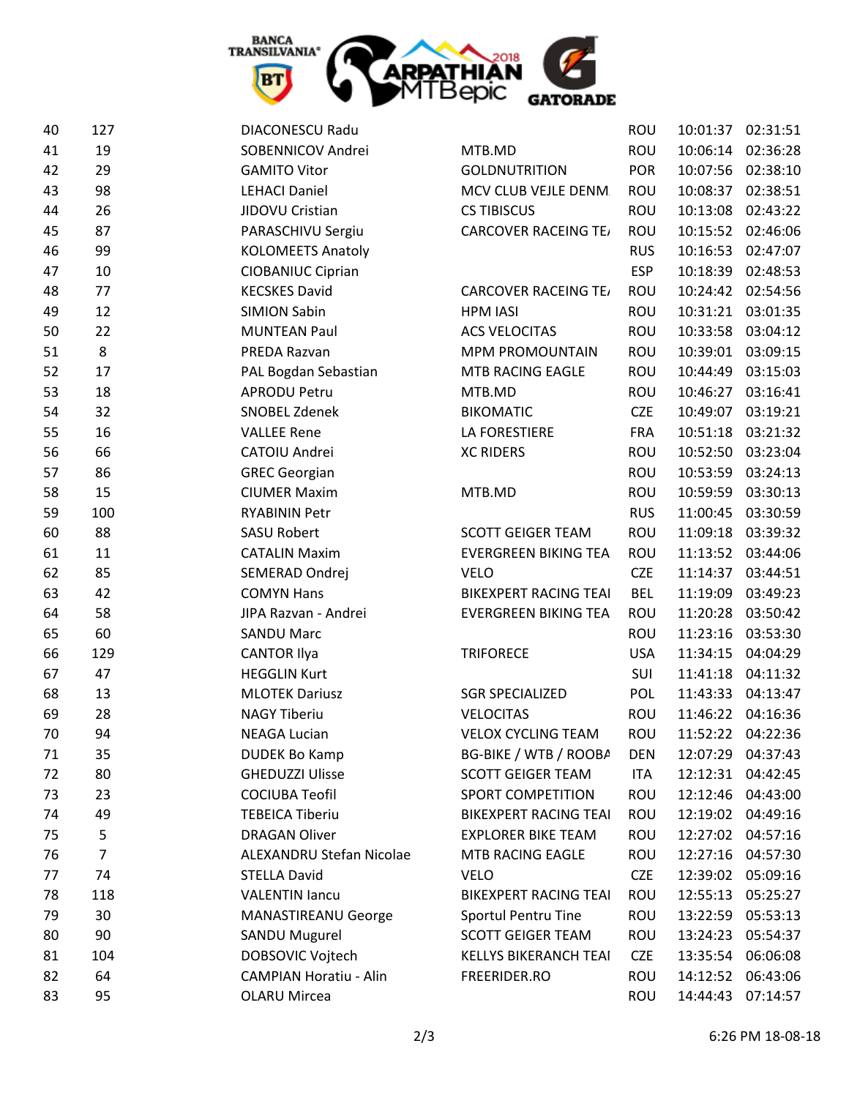

| 40 | 127            | <b>DIACONESCU Radu</b>        |                              | ROU        | 10:01:37 | 02:31:51          |
|----|----------------|-------------------------------|------------------------------|------------|----------|-------------------|
| 41 | 19             | SOBENNICOV Andrei             | MTB.MD                       | <b>ROU</b> | 10:06:14 | 02:36:28          |
| 42 | 29             | <b>GAMITO Vitor</b>           | <b>GOLDNUTRITION</b>         | <b>POR</b> | 10:07:56 | 02:38:10          |
| 43 | 98             | <b>LEHACI Daniel</b>          | MCV CLUB VEJLE DENM.         | ROU        | 10:08:37 | 02:38:51          |
| 44 | 26             | JIDOVU Cristian               | <b>CS TIBISCUS</b>           | <b>ROU</b> | 10:13:08 | 02:43:22          |
| 45 | 87             | PARASCHIVU Sergiu             | <b>CARCOVER RACEING TE/</b>  | ROU        | 10:15:52 | 02:46:06          |
| 46 | 99             | <b>KOLOMEETS Anatoly</b>      |                              | <b>RUS</b> | 10:16:53 | 02:47:07          |
| 47 | 10             | <b>CIOBANIUC Ciprian</b>      |                              | <b>ESP</b> | 10:18:39 | 02:48:53          |
| 48 | 77             | <b>KECSKES David</b>          | <b>CARCOVER RACEING TE</b>   | ROU        | 10:24:42 | 02:54:56          |
| 49 | 12             | <b>SIMION Sabin</b>           | <b>HPM IASI</b>              | ROU        | 10:31:21 | 03:01:35          |
| 50 | 22             | <b>MUNTEAN Paul</b>           | <b>ACS VELOCITAS</b>         | ROU        | 10:33:58 | 03:04:12          |
| 51 | 8              | PREDA Razvan                  | <b>MPM PROMOUNTAIN</b>       | ROU        | 10:39:01 | 03:09:15          |
| 52 | 17             | PAL Bogdan Sebastian          | MTB RACING EAGLE             | ROU        | 10:44:49 | 03:15:03          |
| 53 | 18             | <b>APRODU Petru</b>           | MTB.MD                       | <b>ROU</b> | 10:46:27 | 03:16:41          |
| 54 | 32             | SNOBEL Zdenek                 | <b>BIKOMATIC</b>             | <b>CZE</b> | 10:49:07 | 03:19:21          |
| 55 | 16             | <b>VALLEE Rene</b>            | LA FORESTIERE                | <b>FRA</b> |          | 10:51:18 03:21:32 |
| 56 | 66             | CATOIU Andrei                 | <b>XC RIDERS</b>             | <b>ROU</b> | 10:52:50 | 03:23:04          |
| 57 | 86             | <b>GREC Georgian</b>          |                              | <b>ROU</b> | 10:53:59 | 03:24:13          |
| 58 | 15             | <b>CIUMER Maxim</b>           | MTB.MD                       | ROU        | 10:59:59 | 03:30:13          |
| 59 | 100            | <b>RYABININ Petr</b>          |                              | <b>RUS</b> | 11:00:45 | 03:30:59          |
| 60 | 88             | <b>SASU Robert</b>            | <b>SCOTT GEIGER TEAM</b>     | ROU        | 11:09:18 | 03:39:32          |
| 61 | 11             | <b>CATALIN Maxim</b>          | <b>EVERGREEN BIKING TEA</b>  | ROU        | 11:13:52 | 03:44:06          |
| 62 | 85             | SEMERAD Ondrej                | <b>VELO</b>                  | <b>CZE</b> | 11:14:37 | 03:44:51          |
| 63 | 42             | <b>COMYN Hans</b>             | <b>BIKEXPERT RACING TEAI</b> | <b>BEL</b> | 11:19:09 | 03:49:23          |
| 64 | 58             | JIPA Razvan - Andrei          | <b>EVERGREEN BIKING TEA</b>  | ROU        | 11:20:28 | 03:50:42          |
| 65 | 60             | <b>SANDU Marc</b>             |                              | <b>ROU</b> | 11:23:16 | 03:53:30          |
| 66 | 129            | <b>CANTOR Ilya</b>            | <b>TRIFORECE</b>             | <b>USA</b> | 11:34:15 | 04:04:29          |
| 67 | 47             | <b>HEGGLIN Kurt</b>           |                              | SUI        | 11:41:18 | 04:11:32          |
| 68 | 13             | <b>MLOTEK Dariusz</b>         | <b>SGR SPECIALIZED</b>       | POL        | 11:43:33 | 04:13:47          |
| 69 | 28             | <b>NAGY Tiberiu</b>           | <b>VELOCITAS</b>             | ROU        |          | 11:46:22 04:16:36 |
| 70 | 94             | <b>NEAGA Lucian</b>           | <b>VELOX CYCLING TEAM</b>    | ROU        |          | 11:52:22 04:22:36 |
| 71 | 35             | <b>DUDEK Bo Kamp</b>          | BG-BIKE / WTB / ROOBA        | <b>DEN</b> | 12:07:29 | 04:37:43          |
| 72 | 80             | <b>GHEDUZZI Ulisse</b>        | <b>SCOTT GEIGER TEAM</b>     | <b>ITA</b> | 12:12:31 | 04:42:45          |
| 73 | 23             | <b>COCIUBA Teofil</b>         | SPORT COMPETITION            | ROU        | 12:12:46 | 04:43:00          |
| 74 | 49             | <b>TEBEICA Tiberiu</b>        | <b>BIKEXPERT RACING TEAI</b> | ROU        |          | 12:19:02 04:49:16 |
| 75 | 5              | <b>DRAGAN Oliver</b>          | <b>EXPLORER BIKE TEAM</b>    | ROU        | 12:27:02 | 04:57:16          |
| 76 | $\overline{7}$ | ALEXANDRU Stefan Nicolae      | MTB RACING EAGLE             | ROU        |          | 12:27:16 04:57:30 |
| 77 | 74             | <b>STELLA David</b>           | <b>VELO</b>                  | <b>CZE</b> | 12:39:02 | 05:09:16          |
| 78 | 118            | <b>VALENTIN lancu</b>         | <b>BIKEXPERT RACING TEAI</b> | ROU        | 12:55:13 | 05:25:27          |
| 79 | 30             | MANASTIREANU George           | Sportul Pentru Tine          | ROU        | 13:22:59 | 05:53:13          |
| 80 | 90             | SANDU Mugurel                 | <b>SCOTT GEIGER TEAM</b>     | ROU        | 13:24:23 | 05:54:37          |
| 81 | 104            | DOBSOVIC Vojtech              | <b>KELLYS BIKERANCH TEAI</b> | <b>CZE</b> |          | 13:35:54 06:06:08 |
| 82 | 64             | <b>CAMPIAN Horatiu - Alin</b> | FREERIDER.RO                 | ROU        | 14:12:52 | 06:43:06          |
| 83 | 95             | <b>OLARU Mircea</b>           |                              | ROU        | 14:44:43 | 07:14:57          |
|    |                |                               |                              |            |          |                   |